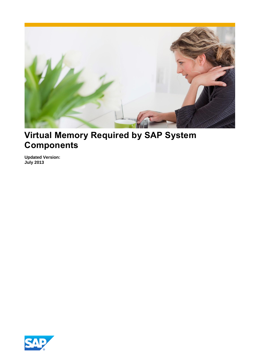

# **Virtual Memory Required by SAP System Components**

**Updated Version: July 2013** 

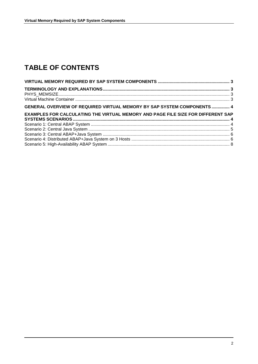# **TABLE OF CONTENTS**

| <b>GENERAL OVERVIEW OF REQUIRED VIRTUAL MEMORY BY SAP SYSTEM COMPONENTS  4</b>   |  |
|----------------------------------------------------------------------------------|--|
| EXAMPLES FOR CALCULATING THE VIRTUAL MEMORY AND PAGE FILE SIZE FOR DIFFERENT SAP |  |
|                                                                                  |  |
|                                                                                  |  |
|                                                                                  |  |
|                                                                                  |  |
|                                                                                  |  |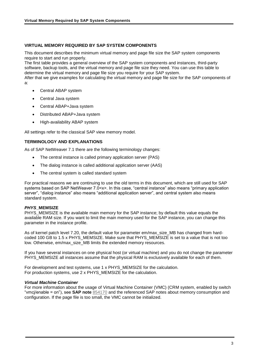# <span id="page-2-0"></span>**VIRTUAL MEMORY REQUIRED BY SAP SYSTEM COMPONENTS**

This document describes the minimum virtual memory and page file size the SAP system components require to start and run properly.

The first table provides a general overview of the SAP system components and instances, third-party software, backup tools, and the virtual memory and page file size they need. You can use this table to determine the virtual memory and page file size you require for your SAP system.

After that we give examples for calculating the virtual memory and page file size for the SAP components of a:

- Central ABAP system
- Central Java system
- Central ABAP+Java system
- Distributed ABAP+Java system
- High-availability ABAP system

All settings refer to the classical SAP view memory model.

# <span id="page-2-1"></span>**TERMINOLOGY AND EXPLANATIONS**

As of SAP NetWeaver 7.1 there are the following terminology changes:

- The central instance is called primary application server (PAS)
- The dialog instance is called additional application server (AAS)
- The central system is called standard system

For practical reasons we are continuing to use the old terms in this document, which are still used for SAP systems based on SAP NetWeaver 7.0<x>. In this case, "central instance" also means "primary application server", "dialog instance" also means "additional application server", and central system also means standard system.

# <span id="page-2-2"></span>**PHYS MEMSIZE**

PHYS\_MEMSIZE is the available main memory for the SAP instance; by default this value equals the available RAM size. If you want to limit the main memory used for the SAP instance, you can change this parameter in the instance profile.

As of kernel patch level 7.20, the default value for parameter em/max\_size\_MB has changed from hardcoded 100 GB to 1.5 x PHYS\_MEMSIZE. Make sure that PHYS\_MEMSIZE is set to a value that is not too low. Otherwise, em/max\_size\_MB limits the extended memory resources.

If you have several instances on one physical host (or virtual machine) and you do not change the parameter PHYS\_MEMSIZE all instances assume that the physical RAM is exclusively available for each of them.

For development and test systems, use 1 x PHYS\_MEMSIZE for the calculation. For production systems, use 2 x PHYS\_MEMSIZE for the calculation.

# <span id="page-2-3"></span>*Virtual Machine Container*

For more information about the usage of Virtual Machine Container (VMC) (CRM system, enabled by switch "vmcj/enable = on"), see **SAP note** [854170](http://service.sap.com/sap/support/notes/854170) and the referenced SAP notes about memory consumption and configuration. If the page file is too small, the VMC cannot be initialized.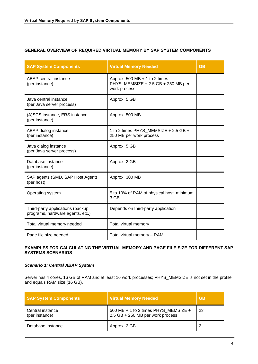# <span id="page-3-0"></span>**GENERAL OVERVIEW OF REQUIRED VIRTUAL MEMORY BY SAP SYSTEM COMPONENTS**

| <b>SAP System Components</b>                                         | <b>Virtual Memory Needed</b>                                                          | <b>GB</b> |
|----------------------------------------------------------------------|---------------------------------------------------------------------------------------|-----------|
| ABAP central instance<br>(per instance)                              | Approx. 500 MB $+$ 1 to 2 times<br>PHYS_MEMSIZE + 2.5 GB + 250 MB per<br>work process |           |
| Java central instance<br>(per Java server process)                   | Approx. 5 GB                                                                          |           |
| (A)SCS instance, ERS instance<br>(per instance)                      | Approx. 500 MB                                                                        |           |
| ABAP dialog instance<br>(per instance)                               | 1 to 2 times PHYS_MEMSIZE + 2.5 GB +<br>250 MB per work process                       |           |
| Java dialog instance<br>(per Java server process)                    | Approx. 5 GB                                                                          |           |
| Database instance<br>(per instance)                                  | Approx. 2 GB                                                                          |           |
| SAP agents (SMD, SAP Host Agent)<br>(per host)                       | Approx. 300 MB                                                                        |           |
| Operating system                                                     | 5 to 10% of RAM of physical host, minimum<br>3 GB                                     |           |
| Third-party applications (backup<br>programs, hardware agents, etc.) | Depends on third-party application                                                    |           |
| Total virtual memory needed                                          | Total virtual memory                                                                  |           |
| Page file size needed                                                | Total virtual memory - RAM                                                            |           |

# <span id="page-3-1"></span>**EXAMPLES FOR CALCULATING THE VIRTUAL MEMORY AND PAGE FILE SIZE FOR DIFFERENT SAP SYSTEMS SCENARIOS**

# <span id="page-3-2"></span>*Scenario 1: Central ABAP System*

Server has 4 cores, 16 GB of RAM and at least 16 work processes; PHYS\_MEMSIZE is not set in the profile and equals RAM size (16 GB).

| <b>SAP System Components</b>       | <b>Virtual Memory Needed</b>                                             | <b>GB</b> |
|------------------------------------|--------------------------------------------------------------------------|-----------|
| Central instance<br>(per instance) | 500 MB + 1 to 2 times PHYS MEMSIZE +<br>2.5 GB + 250 MB per work process | -23       |
| Database instance                  | Approx. 2 GB                                                             | ◠         |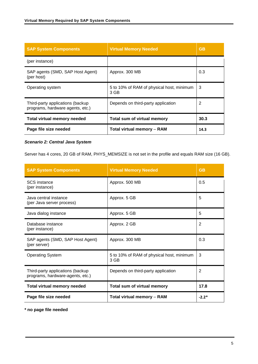| <b>SAP System Components</b>                                         | <b>Virtual Memory Needed</b>                      | <b>GB</b> |
|----------------------------------------------------------------------|---------------------------------------------------|-----------|
| (per instance)                                                       |                                                   |           |
| SAP agents (SMD, SAP Host Agent)<br>(per host)                       | Approx. 300 MB                                    | 0.3       |
| Operating system                                                     | 5 to 10% of RAM of physical host, minimum<br>3 GB | 3         |
| Third-party applications (backup<br>programs, hardware agents, etc.) | Depends on third-party application                | 2         |
| <b>Total virtual memory needed</b>                                   | <b>Total sum of virtual memory</b>                | 30.3      |
| Page file size needed                                                | <b>Total virtual memory - RAM</b>                 | 14.3      |

<span id="page-4-0"></span>*Scenario 2: Central Java System* 

Server has 4 cores, 20 GB of RAM, PHYS\_MEMSIZE is not set in the profile and equals RAM size (16 GB).

| <b>SAP System Components</b>                                         | <b>Virtual Memory Needed</b>                      | <b>GB</b>      |
|----------------------------------------------------------------------|---------------------------------------------------|----------------|
| <b>SCS</b> instance<br>(per instance)                                | Approx. 500 MB                                    | 0.5            |
| Java central instance<br>(per Java server process)                   | Approx. 5 GB                                      | 5              |
| Java dialog instance                                                 | Approx. 5 GB                                      | 5              |
| Database instance<br>(per instance)                                  | Approx. 2 GB                                      | $\overline{2}$ |
| SAP agents (SMD, SAP Host Agent)<br>(per server)                     | Approx. 300 MB                                    | 0.3            |
| <b>Operating System</b>                                              | 5 to 10% of RAM of physical host, minimum<br>3 GB | 3              |
| Third-party applications (backup<br>programs, hardware-agents, etc.) | Depends on third-party application                | 2              |
| <b>Total virtual memory needed</b>                                   | Total sum of virtual memory                       | 17.8           |
| Page file size needed                                                | <b>Total virtual memory - RAM</b>                 | $-2.2*$        |

**\* no page file needed**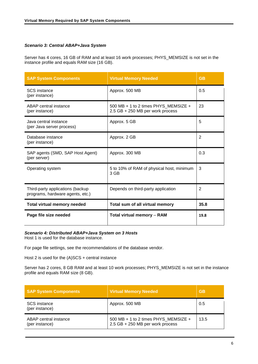# <span id="page-5-0"></span>*Scenario 3: Central ABAP+Java System*

Server has 4 cores, 16 GB of RAM and at least 16 work processes; PHYS\_MEMSIZE is not set in the instance profile and equals RAM size (16 GB).

| <b>SAP System Components</b>                                         | <b>Virtual Memory Needed</b>                                             | <b>GB</b> |
|----------------------------------------------------------------------|--------------------------------------------------------------------------|-----------|
| <b>SCS</b> instance<br>(per instance)                                | Approx. 500 MB                                                           | 0.5       |
| ABAP central instance<br>(per instance)                              | 500 MB + 1 to 2 times PHYS_MEMSIZE +<br>2.5 GB + 250 MB per work process | 23        |
| Java central instance<br>(per Java server process)                   | Approx. 5 GB                                                             | 5         |
| Database instance<br>(per instance)                                  | Approx. 2 GB                                                             | 2         |
| SAP agents (SMD, SAP Host Agent)<br>(per server)                     | Approx. 300 MB                                                           | 0.3       |
| Operating system                                                     | 5 to 10% of RAM of physical host, minimum<br>3 GB                        | 3         |
| Third-party applications (backup<br>programs, hardware agents, etc.) | Depends on third-party application                                       | 2         |
| <b>Total virtual memory needed</b>                                   | Total sum of all virtual memory                                          | 35.8      |
| Page file size needed                                                | <b>Total virtual memory - RAM</b>                                        | 19.8      |

# <span id="page-5-1"></span>*Scenario 4: Distributed ABAP+Java System on 3 Hosts*

Host 1 is used for the database instance.

For page file settings, see the recommendations of the database vendor.

Host 2 is used for the (A)SCS + central instance

Server has 2 cores, 8 GB RAM and at least 10 work processes; PHYS\_MEMSIZE is not set in the instance profile and equals RAM size (8 GB).

| <b>SAP System Components</b>            | <b>Virtual Memory Needed</b>                                             | <b>GB</b> |
|-----------------------------------------|--------------------------------------------------------------------------|-----------|
| <b>SCS</b> instance<br>(per instance)   | Approx. 500 MB                                                           | 0.5       |
| ABAP central instance<br>(per instance) | 500 MB + 1 to 2 times PHYS_MEMSIZE +<br>2.5 GB + 250 MB per work process | 13.5      |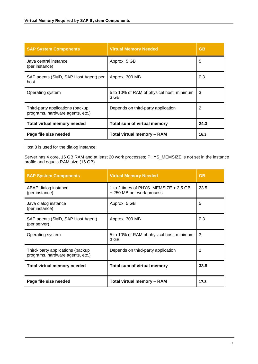| <b>SAP System Components</b>                                         | <b>Virtual Memory Needed</b>                      | <b>GB</b> |
|----------------------------------------------------------------------|---------------------------------------------------|-----------|
| Java central instance<br>(per instance)                              | Approx. 5 GB                                      | 5         |
| SAP agents (SMD, SAP Host Agent) per<br>host                         | Approx. 300 MB                                    | 0.3       |
| Operating system                                                     | 5 to 10% of RAM of physical host, minimum<br>3 GB | 3         |
| Third-party applications (backup<br>programs, hardware agents, etc.) | Depends on third-party application                | 2         |
| <b>Total virtual memory needed</b>                                   | <b>Total sum of virtual memory</b>                | 24.3      |
| Page file size needed                                                | <b>Total virtual memory - RAM</b>                 | 16.3      |

Host 3 is used for the dialog instance:

Server has 4 core, 16 GB RAM and at least 20 work processes; PHYS\_MEMSIZE is not set in the instance profile and equals RAM size (16 GB)

| <b>SAP System Components</b>                                          | <b>Virtual Memory Needed</b>                                       | <b>GB</b> |
|-----------------------------------------------------------------------|--------------------------------------------------------------------|-----------|
| ABAP dialog instance<br>(per instance)                                | 1 to 2 times of PHYS_MEMSIZE + 2,5 GB<br>+ 250 MB per work process | 23.5      |
| Java dialog instance<br>(per instance)                                | Approx. 5 GB                                                       | 5         |
| SAP agents (SMD, SAP Host Agent)<br>(per server)                      | Approx. 300 MB                                                     | 0.3       |
| Operating system                                                      | 5 to 10% of RAM of physical host, minimum<br>3 GB                  | 3         |
| Third- party applications (backup<br>programs, hardware agents, etc.) | Depends on third-party application                                 | 2         |
| <b>Total virtual memory needed</b>                                    | <b>Total sum of virtual memory</b>                                 | 33.8      |
| Page file size needed                                                 | <b>Total virtual memory - RAM</b>                                  | 17.8      |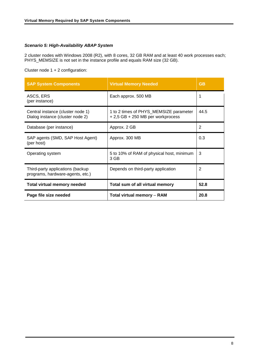# <span id="page-7-0"></span>*Scenario 5: High-Availability ABAP System*

2 cluster nodes with Windows 2008 (R2), with 8 cores, 32 GB RAM and at least 40 work processes each; PHYS\_MEMSIZE is not set in the instance profile and equals RAM size (32 GB).

Cluster node 1 + 2 configuration:

| <b>SAP System Components</b>                                          | <b>Virtual Memory Needed</b>                                                | <b>GB</b>      |
|-----------------------------------------------------------------------|-----------------------------------------------------------------------------|----------------|
| ASCS, ERS<br>(per instance)                                           | Each approx. 500 MB                                                         | 1              |
| Central instance (cluster node 1)<br>Dialog instance (cluster node 2) | 1 to 2 times of PHYS_MEMSIZE parameter<br>+ 2,5 GB + 250 MB per workprocess | 44.5           |
| Database (per instance)                                               | Approx. 2 GB                                                                | $\overline{2}$ |
| SAP agents (SMD, SAP Host Agent)<br>(per host)                        | Approx. 300 MB                                                              | 0.3            |
| Operating system                                                      | 5 to 10% of RAM of physical host, minimum<br>3 GB                           | 3              |
| Third-party applications (backup<br>programs, hardware-agents, etc.)  | Depends on third-party application                                          | 2              |
| <b>Total virtual memory needed</b>                                    | Total sum of all virtual memory                                             | 52.8           |
| Page file size needed                                                 | <b>Total virtual memory - RAM</b>                                           | 20.8           |